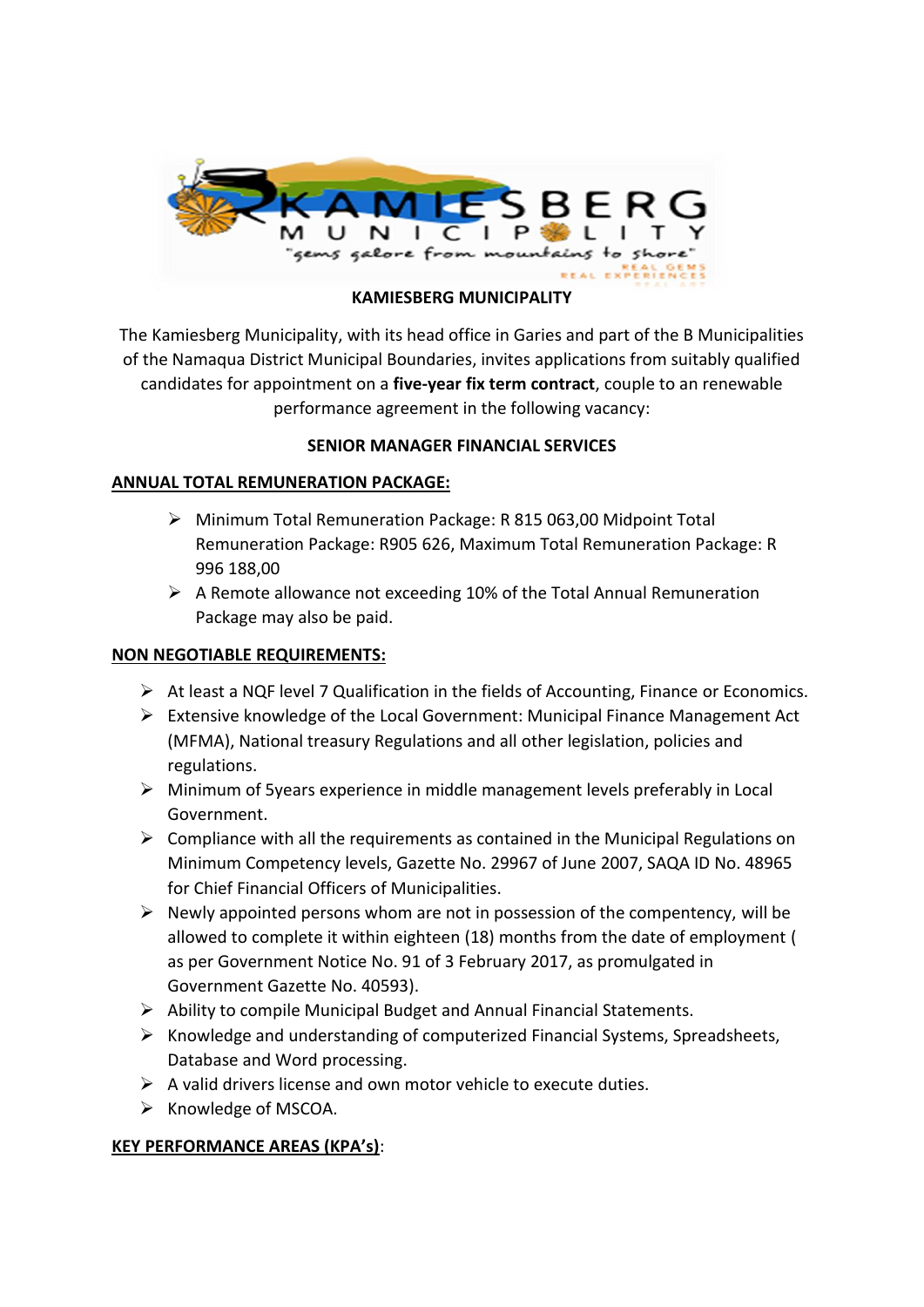

## **KAMIESBERG MUNICIPALITY**

The Kamiesberg Municipality, with its head office in Garies and part of the B Municipalities of the Namaqua District Municipal Boundaries, invites applications from suitably qualified candidates for appointment on a **five-year fix term contract**, couple to an renewable performance agreement in the following vacancy:

# **SENIOR MANAGER FINANCIAL SERVICES**

## **ANNUAL TOTAL REMUNERATION PACKAGE:**

- ➢ Minimum Total Remuneration Package: R 815 063,00 Midpoint Total Remuneration Package: R905 626, Maximum Total Remuneration Package: R 996 188,00
- ➢ A Remote allowance not exceeding 10% of the Total Annual Remuneration Package may also be paid.

## **NON NEGOTIABLE REQUIREMENTS:**

- ➢ At least a NQF level 7 Qualification in the fields of Accounting, Finance or Economics.
- ➢ Extensive knowledge of the Local Government: Municipal Finance Management Act (MFMA), National treasury Regulations and all other legislation, policies and regulations.
- ➢ Minimum of 5years experience in middle management levels preferably in Local Government.
- $\triangleright$  Compliance with all the requirements as contained in the Municipal Regulations on Minimum Competency levels, Gazette No. 29967 of June 2007, SAQA ID No. 48965 for Chief Financial Officers of Municipalities.
- $\triangleright$  Newly appointed persons whom are not in possession of the compentency, will be allowed to complete it within eighteen (18) months from the date of employment ( as per Government Notice No. 91 of 3 February 2017, as promulgated in Government Gazette No. 40593).
- ➢ Ability to compile Municipal Budget and Annual Financial Statements.
- ➢ Knowledge and understanding of computerized Financial Systems, Spreadsheets, Database and Word processing.
- $\triangleright$  A valid drivers license and own motor vehicle to execute duties.
- $\triangleright$  Knowledge of MSCOA.

### **KEY PERFORMANCE AREAS (KPA's)**: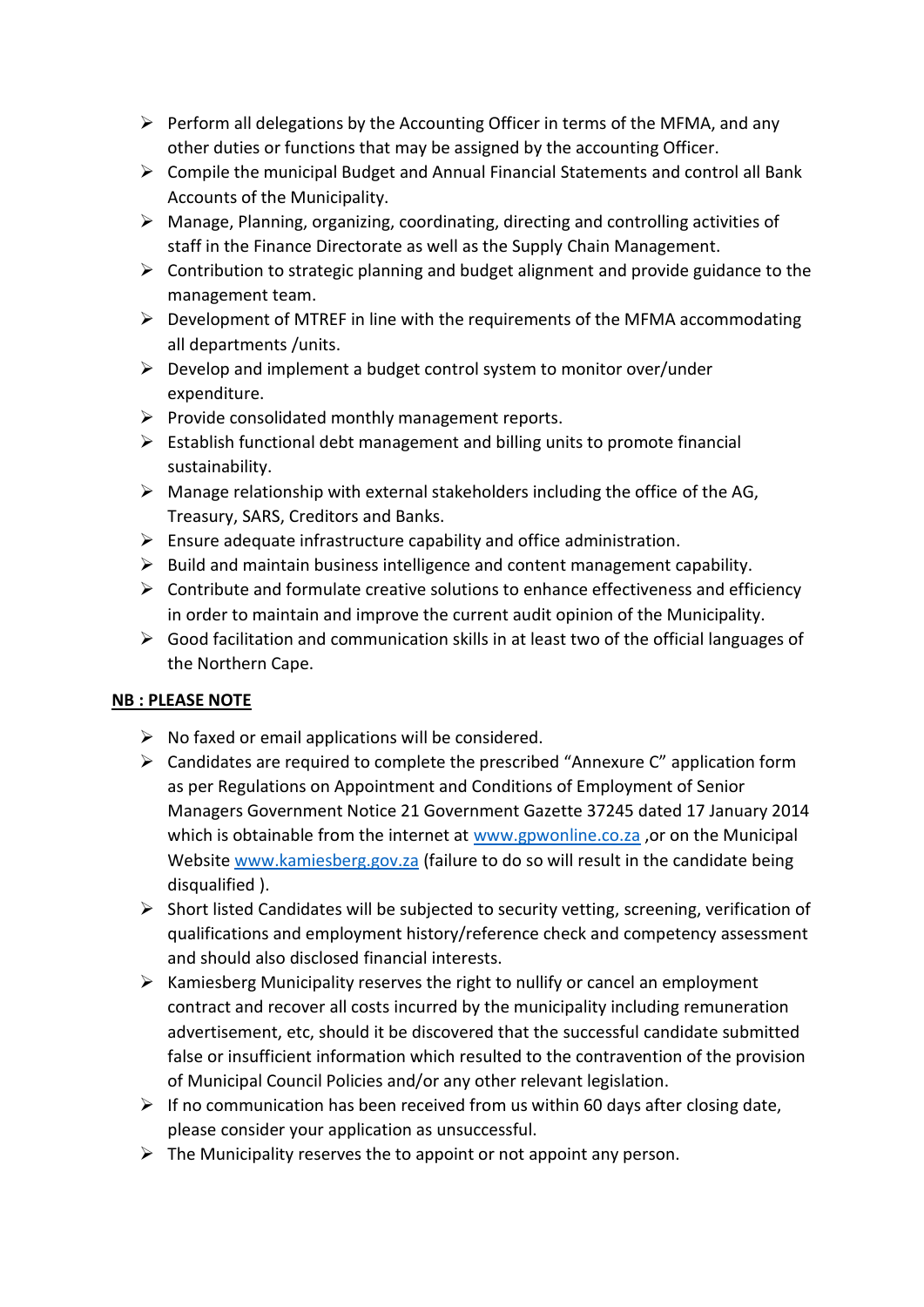- $\triangleright$  Perform all delegations by the Accounting Officer in terms of the MFMA, and any other duties or functions that may be assigned by the accounting Officer.
- ➢ Compile the municipal Budget and Annual Financial Statements and control all Bank Accounts of the Municipality.
- $\triangleright$  Manage, Planning, organizing, coordinating, directing and controlling activities of staff in the Finance Directorate as well as the Supply Chain Management.
- $\triangleright$  Contribution to strategic planning and budget alignment and provide guidance to the management team.
- $\triangleright$  Development of MTREF in line with the requirements of the MFMA accommodating all departments /units.
- $\triangleright$  Develop and implement a budget control system to monitor over/under expenditure.
- $\triangleright$  Provide consolidated monthly management reports.
- $\triangleright$  Establish functional debt management and billing units to promote financial sustainability.
- $\triangleright$  Manage relationship with external stakeholders including the office of the AG, Treasury, SARS, Creditors and Banks.
- $\triangleright$  Ensure adequate infrastructure capability and office administration.
- $\triangleright$  Build and maintain business intelligence and content management capability.
- $\triangleright$  Contribute and formulate creative solutions to enhance effectiveness and efficiency in order to maintain and improve the current audit opinion of the Municipality.
- ➢ Good facilitation and communication skills in at least two of the official languages of the Northern Cape.

# **NB : PLEASE NOTE**

- $\triangleright$  No faxed or email applications will be considered.
- $\triangleright$  Candidates are required to complete the prescribed "Annexure C" application form as per Regulations on Appointment and Conditions of Employment of Senior Managers Government Notice 21 Government Gazette 37245 dated 17 January 2014 which is obtainable from the internet at [www.gpwonline.co.za](http://www.gpwonline.co.za/), or on the Municipal Website [www.kamiesberg.gov.za](http://www.kamiesberg.gov.za/) (failure to do so will result in the candidate being disqualified ).
- $\triangleright$  Short listed Candidates will be subjected to security vetting, screening, verification of qualifications and employment history/reference check and competency assessment and should also disclosed financial interests.
- ➢ Kamiesberg Municipality reserves the right to nullify or cancel an employment contract and recover all costs incurred by the municipality including remuneration advertisement, etc, should it be discovered that the successful candidate submitted false or insufficient information which resulted to the contravention of the provision of Municipal Council Policies and/or any other relevant legislation.
- $\triangleright$  If no communication has been received from us within 60 days after closing date, please consider your application as unsuccessful.
- $\triangleright$  The Municipality reserves the to appoint or not appoint any person.